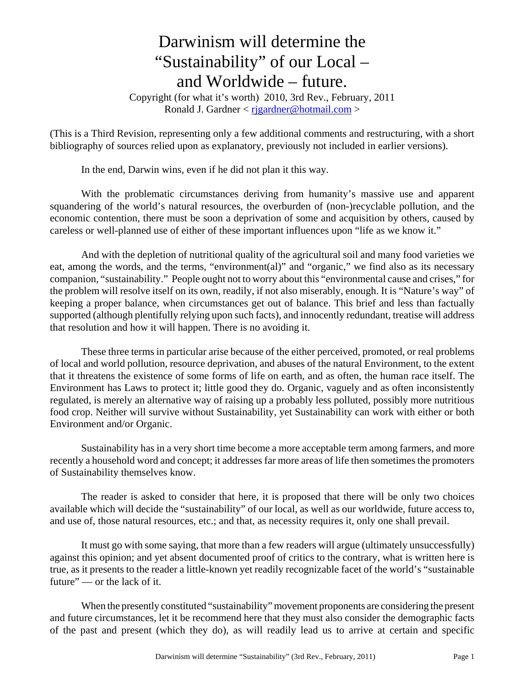## Darwinism will determine the "Sustainability" of our Local – and Worldwide – future.

Copyright (for what it's worth) 2010, 3rd Rev., February, 2011 Ronald J. Gardner  $\langle$  rigardner@hotmail.com  $\rangle$ 

(This is a Third Revision, representing only a few additional comments and restructuring, with a short bibliography of sources relied upon as explanatory, previously not included in earlier versions).

In the end, Darwin wins, even if he did not plan it this way.

With the problematic circumstances deriving from humanity's massive use and apparent squandering of the world's natural resources, the overburden of (non-)recyclable pollution, and the economic contention, there must be soon a deprivation of some and acquisition by others, caused by careless or well-planned use of either of these important influences upon "life as we know it."

And with the depletion of nutritional quality of the agricultural soil and many food varieties we eat, among the words, and the terms, "environment(al)" and "organic," we find also as its necessary companion, "sustainability." People ought not to worry about this "environmental cause and crises," for the problem will resolve itself on its own, readily, if not also miserably, enough. It is "Nature's way" of keeping a proper balance, when circumstances get out of balance. This brief and less than factually supported (although plentifully relying upon such facts), and innocently redundant, treatise will address that resolution and how it will happen. There is no avoiding it.

These three terms in particular arise because of the either perceived, promoted, or real problems of local and world pollution, resource deprivation, and abuses of the natural Environment, to the extent that it threatens the existence of some forms of life on earth, and as often, the human race itself. The Environment has Laws to protect it; little good they do. Organic, vaguely and as often inconsistently regulated, is merely an alternative way of raising up a probably less polluted, possibly more nutritious food crop. Neither will survive without Sustainability, yet Sustainability can work with either or both Environment and/or Organic.

Sustainability has in a very short time become a more acceptable term among farmers, and more recently a household word and concept; it addresses far more areas of life then sometimes the promoters of Sustainability themselves know.

The reader is asked to consider that here, it is proposed that there will be only two choices available which will decide the "sustainability" of our local, as well as our worldwide, future access to, and use of, those natural resources, etc.; and that, as necessity requires it, only one shall prevail.

It must go with some saying, that more than a few readers will argue (ultimately unsuccessfully) against this opinion; and yet absent documented proof of critics to the contrary, what is written here is true, as it presents to the reader a little-known yet readily recognizable facet of the world's "sustainable future" — or the lack of it.

When the presently constituted "sustainability" movement proponents are considering the present and future circumstances, let it be recommend here that they must also consider the demographic facts of the past and present (which they do), as will readily lead us to arrive at certain and specific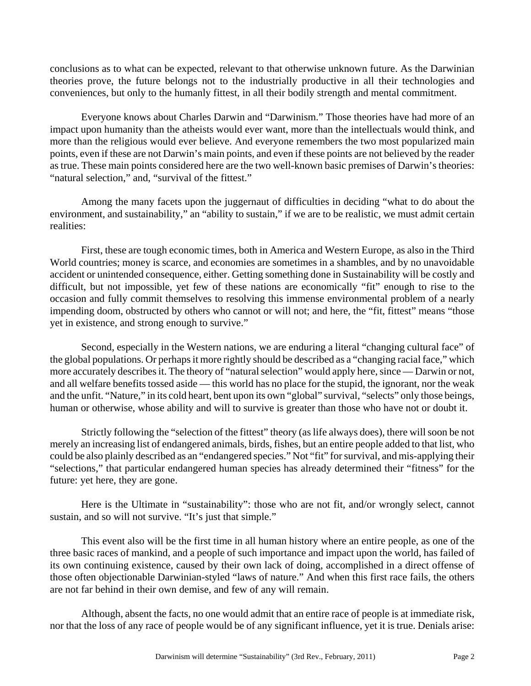conclusions as to what can be expected, relevant to that otherwise unknown future. As the Darwinian theories prove, the future belongs not to the industrially productive in all their technologies and conveniences, but only to the humanly fittest, in all their bodily strength and mental commitment.

Everyone knows about Charles Darwin and "Darwinism." Those theories have had more of an impact upon humanity than the atheists would ever want, more than the intellectuals would think, and more than the religious would ever believe. And everyone remembers the two most popularized main points, even if these are not Darwin's main points, and even if these points are not believed by the reader as true. These main points considered here are the two well-known basic premises of Darwin's theories: "natural selection," and, "survival of the fittest."

Among the many facets upon the juggernaut of difficulties in deciding "what to do about the environment, and sustainability," an "ability to sustain," if we are to be realistic, we must admit certain realities:

First, these are tough economic times, both in America and Western Europe, as also in the Third World countries; money is scarce, and economies are sometimes in a shambles, and by no unavoidable accident or unintended consequence, either. Getting something done in Sustainability will be costly and difficult, but not impossible, yet few of these nations are economically "fit" enough to rise to the occasion and fully commit themselves to resolving this immense environmental problem of a nearly impending doom, obstructed by others who cannot or will not; and here, the "fit, fittest" means "those yet in existence, and strong enough to survive."

Second, especially in the Western nations, we are enduring a literal "changing cultural face" of the global populations. Or perhaps it more rightly should be described as a "changing racial face," which more accurately describes it. The theory of "natural selection" would apply here, since — Darwin or not, and all welfare benefits tossed aside — this world has no place for the stupid, the ignorant, nor the weak and the unfit. "Nature," in its cold heart, bent upon its own "global" survival, "selects" only those beings, human or otherwise, whose ability and will to survive is greater than those who have not or doubt it.

Strictly following the "selection of the fittest" theory (as life always does), there will soon be not merely an increasing list of endangered animals, birds, fishes, but an entire people added to that list, who could be also plainly described as an "endangered species." Not "fit" for survival, and mis-applying their "selections," that particular endangered human species has already determined their "fitness" for the future: yet here, they are gone.

Here is the Ultimate in "sustainability": those who are not fit, and/or wrongly select, cannot sustain, and so will not survive. "It's just that simple."

This event also will be the first time in all human history where an entire people, as one of the three basic races of mankind, and a people of such importance and impact upon the world, has failed of its own continuing existence, caused by their own lack of doing, accomplished in a direct offense of those often objectionable Darwinian-styled "laws of nature." And when this first race fails, the others are not far behind in their own demise, and few of any will remain.

Although, absent the facts, no one would admit that an entire race of people is at immediate risk, nor that the loss of any race of people would be of any significant influence, yet it is true. Denials arise: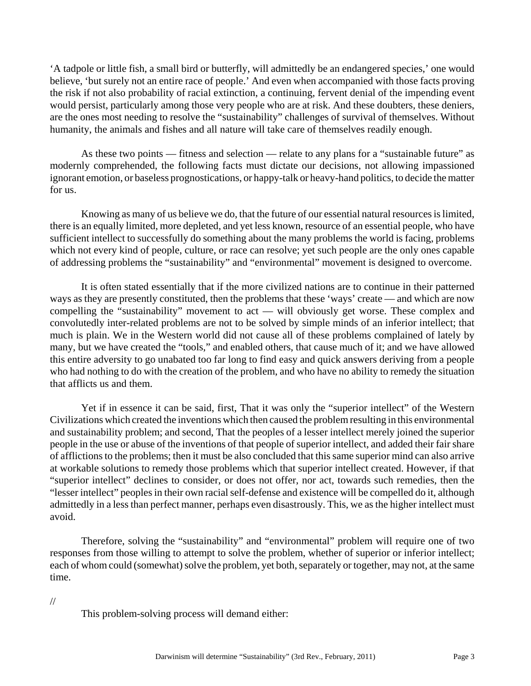'A tadpole or little fish, a small bird or butterfly, will admittedly be an endangered species,' one would believe, 'but surely not an entire race of people.' And even when accompanied with those facts proving the risk if not also probability of racial extinction, a continuing, fervent denial of the impending event would persist, particularly among those very people who are at risk. And these doubters, these deniers, are the ones most needing to resolve the "sustainability" challenges of survival of themselves. Without humanity, the animals and fishes and all nature will take care of themselves readily enough.

As these two points — fitness and selection — relate to any plans for a "sustainable future" as modernly comprehended, the following facts must dictate our decisions, not allowing impassioned ignorant emotion, or baseless prognostications, or happy-talk or heavy-hand politics, to decide the matter for us.

Knowing as many of us believe we do, that the future of our essential natural resources is limited, there is an equally limited, more depleted, and yet less known, resource of an essential people, who have sufficient intellect to successfully do something about the many problems the world is facing, problems which not every kind of people, culture, or race can resolve; yet such people are the only ones capable of addressing problems the "sustainability" and "environmental" movement is designed to overcome.

It is often stated essentially that if the more civilized nations are to continue in their patterned ways as they are presently constituted, then the problems that these 'ways' create — and which are now compelling the "sustainability" movement to act — will obviously get worse. These complex and convolutedly inter-related problems are not to be solved by simple minds of an inferior intellect; that much is plain. We in the Western world did not cause all of these problems complained of lately by many, but we have created the "tools," and enabled others, that cause much of it; and we have allowed this entire adversity to go unabated too far long to find easy and quick answers deriving from a people who had nothing to do with the creation of the problem, and who have no ability to remedy the situation that afflicts us and them.

Yet if in essence it can be said, first, That it was only the "superior intellect" of the Western Civilizations which created the inventions which then caused the problem resulting in this environmental and sustainability problem; and second, That the peoples of a lesser intellect merely joined the superior people in the use or abuse of the inventions of that people of superior intellect, and added their fair share of afflictions to the problems; then it must be also concluded that this same superior mind can also arrive at workable solutions to remedy those problems which that superior intellect created. However, if that "superior intellect" declines to consider, or does not offer, nor act, towards such remedies, then the "lesser intellect" peoples in their own racial self-defense and existence will be compelled do it, although admittedly in a less than perfect manner, perhaps even disastrously. This, we as the higher intellect must avoid.

Therefore, solving the "sustainability" and "environmental" problem will require one of two responses from those willing to attempt to solve the problem, whether of superior or inferior intellect; each of whom could (somewhat) solve the problem, yet both, separately or together, may not, at the same time.

//

This problem-solving process will demand either: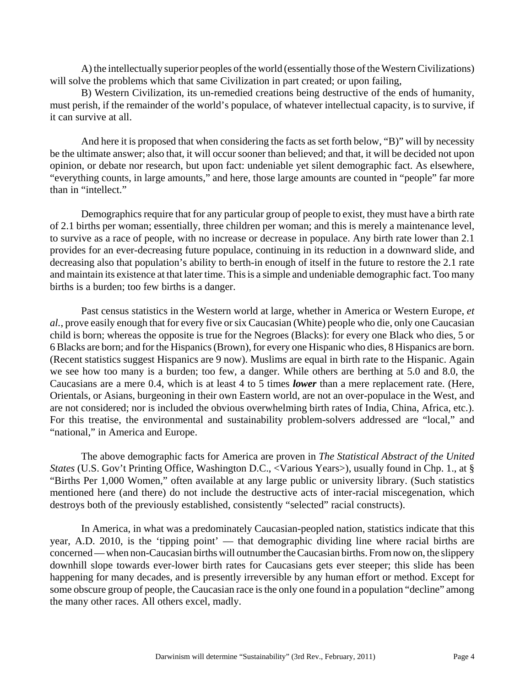A) the intellectually superior peoples of the world (essentially those of the Western Civilizations) will solve the problems which that same Civilization in part created; or upon failing,

B) Western Civilization, its un-remedied creations being destructive of the ends of humanity, must perish, if the remainder of the world's populace, of whatever intellectual capacity, is to survive, if it can survive at all.

And here it is proposed that when considering the facts as set forth below, "B)" will by necessity be the ultimate answer; also that, it will occur sooner than believed; and that, it will be decided not upon opinion, or debate nor research, but upon fact: undeniable yet silent demographic fact. As elsewhere, "everything counts, in large amounts," and here, those large amounts are counted in "people" far more than in "intellect."

Demographics require that for any particular group of people to exist, they must have a birth rate of 2.1 births per woman; essentially, three children per woman; and this is merely a maintenance level, to survive as a race of people, with no increase or decrease in populace. Any birth rate lower than 2.1 provides for an ever-decreasing future populace, continuing in its reduction in a downward slide, and decreasing also that population's ability to berth-in enough of itself in the future to restore the 2.1 rate and maintain its existence at that later time. This is a simple and undeniable demographic fact. Too many births is a burden; too few births is a danger.

Past census statistics in the Western world at large, whether in America or Western Europe, *et al.*, prove easily enough that for every five or six Caucasian (White) people who die, only one Caucasian child is born; whereas the opposite is true for the Negroes (Blacks): for every one Black who dies, 5 or 6 Blacks are born; and for the Hispanics (Brown), for every one Hispanic who dies, 8 Hispanics are born. (Recent statistics suggest Hispanics are 9 now). Muslims are equal in birth rate to the Hispanic. Again we see how too many is a burden; too few, a danger. While others are berthing at 5.0 and 8.0, the Caucasians are a mere 0.4, which is at least 4 to 5 times *lower* than a mere replacement rate. (Here, Orientals, or Asians, burgeoning in their own Eastern world, are not an over-populace in the West, and are not considered; nor is included the obvious overwhelming birth rates of India, China, Africa, etc.). For this treatise, the environmental and sustainability problem-solvers addressed are "local," and "national," in America and Europe.

The above demographic facts for America are proven in *The Statistical Abstract of the United States* (U.S. Gov't Printing Office, Washington D.C., <Various Years>), usually found in Chp. 1., at § "Births Per 1,000 Women," often available at any large public or university library. (Such statistics mentioned here (and there) do not include the destructive acts of inter-racial miscegenation, which destroys both of the previously established, consistently "selected" racial constructs).

In America, in what was a predominately Caucasian-peopled nation, statistics indicate that this year, A.D. 2010, is the 'tipping point' — that demographic dividing line where racial births are concerned — when non-Caucasian births will outnumber the Caucasian births. From now on, the slippery downhill slope towards ever-lower birth rates for Caucasians gets ever steeper; this slide has been happening for many decades, and is presently irreversible by any human effort or method. Except for some obscure group of people, the Caucasian race is the only one found in a population "decline" among the many other races. All others excel, madly.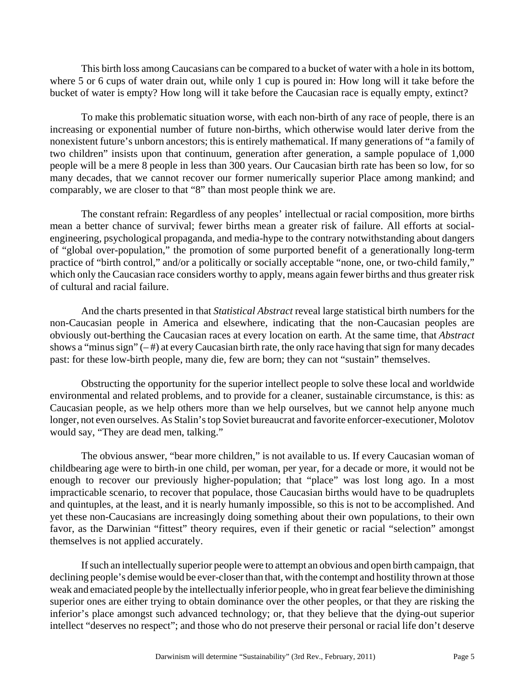This birth loss among Caucasians can be compared to a bucket of water with a hole in its bottom, where 5 or 6 cups of water drain out, while only 1 cup is poured in: How long will it take before the bucket of water is empty? How long will it take before the Caucasian race is equally empty, extinct?

To make this problematic situation worse, with each non-birth of any race of people, there is an increasing or exponential number of future non-births, which otherwise would later derive from the nonexistent future's unborn ancestors; this is entirely mathematical. If many generations of "a family of two children" insists upon that continuum, generation after generation, a sample populace of 1,000 people will be a mere 8 people in less than 300 years. Our Caucasian birth rate has been so low, for so many decades, that we cannot recover our former numerically superior Place among mankind; and comparably, we are closer to that "8" than most people think we are.

The constant refrain: Regardless of any peoples' intellectual or racial composition, more births mean a better chance of survival; fewer births mean a greater risk of failure. All efforts at socialengineering, psychological propaganda, and media-hype to the contrary notwithstanding about dangers of "global over-population," the promotion of some purported benefit of a generationally long-term practice of "birth control," and/or a politically or socially acceptable "none, one, or two-child family," which only the Caucasian race considers worthy to apply, means again fewer births and thus greater risk of cultural and racial failure.

And the charts presented in that *Statistical Abstract* reveal large statistical birth numbers for the non-Caucasian people in America and elsewhere, indicating that the non-Caucasian peoples are obviously out-berthing the Caucasian races at every location on earth. At the same time, that *Abstract* shows a "minus sign"  $(-#)$  at every Caucasian birth rate, the only race having that sign for many decades past: for these low-birth people, many die, few are born; they can not "sustain" themselves.

Obstructing the opportunity for the superior intellect people to solve these local and worldwide environmental and related problems, and to provide for a cleaner, sustainable circumstance, is this: as Caucasian people, as we help others more than we help ourselves, but we cannot help anyone much longer, not even ourselves. As Stalin's top Soviet bureaucrat and favorite enforcer-executioner, Molotov would say, "They are dead men, talking."

The obvious answer, "bear more children," is not available to us. If every Caucasian woman of childbearing age were to birth-in one child, per woman, per year, for a decade or more, it would not be enough to recover our previously higher-population; that "place" was lost long ago. In a most impracticable scenario, to recover that populace, those Caucasian births would have to be quadruplets and quintuples, at the least, and it is nearly humanly impossible, so this is not to be accomplished. And yet these non-Caucasians are increasingly doing something about their own populations, to their own favor, as the Darwinian "fittest" theory requires, even if their genetic or racial "selection" amongst themselves is not applied accurately.

If such an intellectually superior people were to attempt an obvious and open birth campaign, that declining people's demise would be ever-closer than that, with the contempt and hostility thrown at those weak and emaciated people by the intellectually inferior people, who in great fear believe the diminishing superior ones are either trying to obtain dominance over the other peoples, or that they are risking the inferior's place amongst such advanced technology; or, that they believe that the dying-out superior intellect "deserves no respect"; and those who do not preserve their personal or racial life don't deserve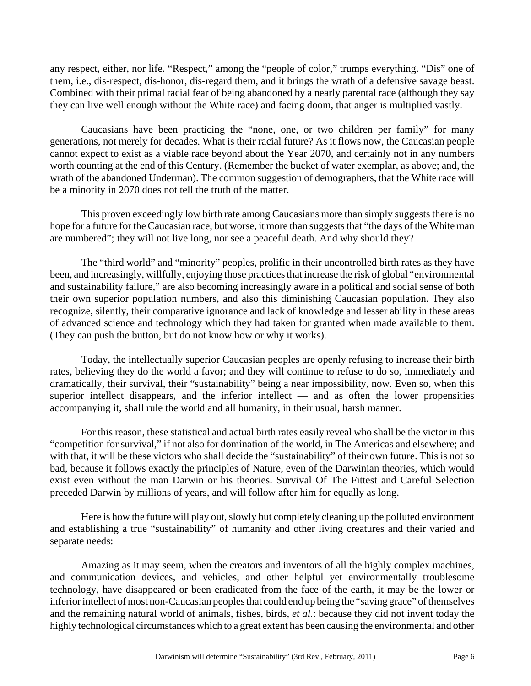any respect, either, nor life. "Respect," among the "people of color," trumps everything. "Dis" one of them, i.e., dis-respect, dis-honor, dis-regard them, and it brings the wrath of a defensive savage beast. Combined with their primal racial fear of being abandoned by a nearly parental race (although they say they can live well enough without the White race) and facing doom, that anger is multiplied vastly.

Caucasians have been practicing the "none, one, or two children per family" for many generations, not merely for decades. What is their racial future? As it flows now, the Caucasian people cannot expect to exist as a viable race beyond about the Year 2070, and certainly not in any numbers worth counting at the end of this Century. (Remember the bucket of water exemplar, as above; and, the wrath of the abandoned Underman). The common suggestion of demographers, that the White race will be a minority in 2070 does not tell the truth of the matter.

This proven exceedingly low birth rate among Caucasians more than simply suggests there is no hope for a future for the Caucasian race, but worse, it more than suggests that "the days of the White man are numbered"; they will not live long, nor see a peaceful death. And why should they?

The "third world" and "minority" peoples, prolific in their uncontrolled birth rates as they have been, and increasingly, willfully, enjoying those practices that increase the risk of global "environmental and sustainability failure," are also becoming increasingly aware in a political and social sense of both their own superior population numbers, and also this diminishing Caucasian population. They also recognize, silently, their comparative ignorance and lack of knowledge and lesser ability in these areas of advanced science and technology which they had taken for granted when made available to them. (They can push the button, but do not know how or why it works).

Today, the intellectually superior Caucasian peoples are openly refusing to increase their birth rates, believing they do the world a favor; and they will continue to refuse to do so, immediately and dramatically, their survival, their "sustainability" being a near impossibility, now. Even so, when this superior intellect disappears, and the inferior intellect — and as often the lower propensities accompanying it, shall rule the world and all humanity, in their usual, harsh manner.

For this reason, these statistical and actual birth rates easily reveal who shall be the victor in this "competition for survival," if not also for domination of the world, in The Americas and elsewhere; and with that, it will be these victors who shall decide the "sustainability" of their own future. This is not so bad, because it follows exactly the principles of Nature, even of the Darwinian theories, which would exist even without the man Darwin or his theories. Survival Of The Fittest and Careful Selection preceded Darwin by millions of years, and will follow after him for equally as long.

Here is how the future will play out, slowly but completely cleaning up the polluted environment and establishing a true "sustainability" of humanity and other living creatures and their varied and separate needs:

Amazing as it may seem, when the creators and inventors of all the highly complex machines, and communication devices, and vehicles, and other helpful yet environmentally troublesome technology, have disappeared or been eradicated from the face of the earth, it may be the lower or inferior intellect of most non-Caucasian peoples that could end up being the "saving grace" of themselves and the remaining natural world of animals, fishes, birds, *et al.*: because they did not invent today the highly technological circumstances which to a great extent has been causing the environmental and other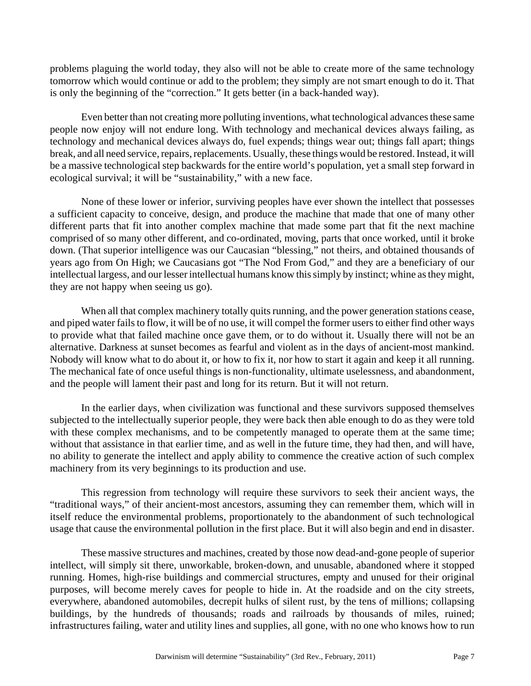problems plaguing the world today, they also will not be able to create more of the same technology tomorrow which would continue or add to the problem; they simply are not smart enough to do it. That is only the beginning of the "correction." It gets better (in a back-handed way).

Even better than not creating more polluting inventions, what technological advances these same people now enjoy will not endure long. With technology and mechanical devices always failing, as technology and mechanical devices always do, fuel expends; things wear out; things fall apart; things break, and all need service, repairs, replacements. Usually, these things would be restored. Instead, it will be a massive technological step backwards for the entire world's population, yet a small step forward in ecological survival; it will be "sustainability," with a new face.

None of these lower or inferior, surviving peoples have ever shown the intellect that possesses a sufficient capacity to conceive, design, and produce the machine that made that one of many other different parts that fit into another complex machine that made some part that fit the next machine comprised of so many other different, and co-ordinated, moving, parts that once worked, until it broke down. (That superior intelligence was our Caucasian "blessing," not theirs, and obtained thousands of years ago from On High; we Caucasians got "The Nod From God," and they are a beneficiary of our intellectual largess, and our lesser intellectual humans know this simply by instinct; whine as they might, they are not happy when seeing us go).

When all that complex machinery totally quits running, and the power generation stations cease, and piped water fails to flow, it will be of no use, it will compel the former users to either find other ways to provide what that failed machine once gave them, or to do without it. Usually there will not be an alternative. Darkness at sunset becomes as fearful and violent as in the days of ancient-most mankind. Nobody will know what to do about it, or how to fix it, nor how to start it again and keep it all running. The mechanical fate of once useful things is non-functionality, ultimate uselessness, and abandonment, and the people will lament their past and long for its return. But it will not return.

In the earlier days, when civilization was functional and these survivors supposed themselves subjected to the intellectually superior people, they were back then able enough to do as they were told with these complex mechanisms, and to be competently managed to operate them at the same time; without that assistance in that earlier time, and as well in the future time, they had then, and will have, no ability to generate the intellect and apply ability to commence the creative action of such complex machinery from its very beginnings to its production and use.

This regression from technology will require these survivors to seek their ancient ways, the "traditional ways," of their ancient-most ancestors, assuming they can remember them, which will in itself reduce the environmental problems, proportionately to the abandonment of such technological usage that cause the environmental pollution in the first place. But it will also begin and end in disaster.

These massive structures and machines, created by those now dead-and-gone people of superior intellect, will simply sit there, unworkable, broken-down, and unusable, abandoned where it stopped running. Homes, high-rise buildings and commercial structures, empty and unused for their original purposes, will become merely caves for people to hide in. At the roadside and on the city streets, everywhere, abandoned automobiles, decrepit hulks of silent rust, by the tens of millions; collapsing buildings, by the hundreds of thousands; roads and railroads by thousands of miles, ruined; infrastructures failing, water and utility lines and supplies, all gone, with no one who knows how to run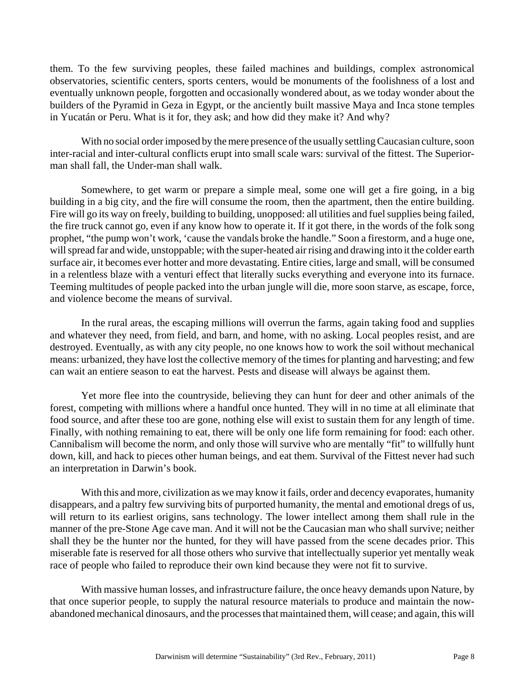them. To the few surviving peoples, these failed machines and buildings, complex astronomical observatories, scientific centers, sports centers, would be monuments of the foolishness of a lost and eventually unknown people, forgotten and occasionally wondered about, as we today wonder about the builders of the Pyramid in Geza in Egypt, or the anciently built massive Maya and Inca stone temples in Yucatán or Peru. What is it for, they ask; and how did they make it? And why?

With no social order imposed by the mere presence of the usually settling Caucasian culture, soon inter-racial and inter-cultural conflicts erupt into small scale wars: survival of the fittest. The Superiorman shall fall, the Under-man shall walk.

Somewhere, to get warm or prepare a simple meal, some one will get a fire going, in a big building in a big city, and the fire will consume the room, then the apartment, then the entire building. Fire will go its way on freely, building to building, unopposed: all utilities and fuel supplies being failed, the fire truck cannot go, even if any know how to operate it. If it got there, in the words of the folk song prophet, "the pump won't work, 'cause the vandals broke the handle." Soon a firestorm, and a huge one, will spread far and wide, unstoppable; with the super-heated air rising and drawing into it the colder earth surface air, it becomes ever hotter and more devastating. Entire cities, large and small, will be consumed in a relentless blaze with a venturi effect that literally sucks everything and everyone into its furnace. Teeming multitudes of people packed into the urban jungle will die, more soon starve, as escape, force, and violence become the means of survival.

In the rural areas, the escaping millions will overrun the farms, again taking food and supplies and whatever they need, from field, and barn, and home, with no asking. Local peoples resist, and are destroyed. Eventually, as with any city people, no one knows how to work the soil without mechanical means: urbanized, they have lost the collective memory of the times for planting and harvesting; and few can wait an entiere season to eat the harvest. Pests and disease will always be against them.

Yet more flee into the countryside, believing they can hunt for deer and other animals of the forest, competing with millions where a handful once hunted. They will in no time at all eliminate that food source, and after these too are gone, nothing else will exist to sustain them for any length of time. Finally, with nothing remaining to eat, there will be only one life form remaining for food: each other. Cannibalism will become the norm, and only those will survive who are mentally "fit" to willfully hunt down, kill, and hack to pieces other human beings, and eat them. Survival of the Fittest never had such an interpretation in Darwin's book.

With this and more, civilization as we may know it fails, order and decency evaporates, humanity disappears, and a paltry few surviving bits of purported humanity, the mental and emotional dregs of us, will return to its earliest origins, sans technology. The lower intellect among them shall rule in the manner of the pre-Stone Age cave man. And it will not be the Caucasian man who shall survive; neither shall they be the hunter nor the hunted, for they will have passed from the scene decades prior. This miserable fate is reserved for all those others who survive that intellectually superior yet mentally weak race of people who failed to reproduce their own kind because they were not fit to survive.

With massive human losses, and infrastructure failure, the once heavy demands upon Nature, by that once superior people, to supply the natural resource materials to produce and maintain the nowabandoned mechanical dinosaurs, and the processes that maintained them, will cease; and again, this will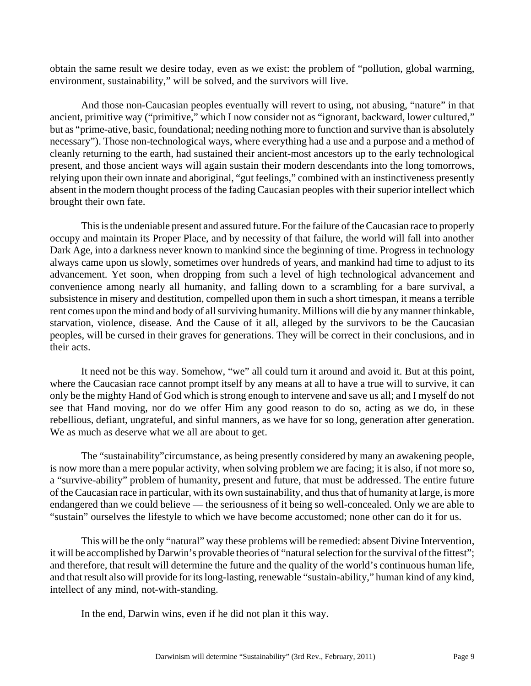obtain the same result we desire today, even as we exist: the problem of "pollution, global warming, environment, sustainability," will be solved, and the survivors will live.

And those non-Caucasian peoples eventually will revert to using, not abusing, "nature" in that ancient, primitive way ("primitive," which I now consider not as "ignorant, backward, lower cultured," but as "prime-ative, basic, foundational; needing nothing more to function and survive than is absolutely necessary"). Those non-technological ways, where everything had a use and a purpose and a method of cleanly returning to the earth, had sustained their ancient-most ancestors up to the early technological present, and those ancient ways will again sustain their modern descendants into the long tomorrows, relying upon their own innate and aboriginal, "gut feelings," combined with an instinctiveness presently absent in the modern thought process of the fading Caucasian peoples with their superior intellect which brought their own fate.

This is the undeniable present and assured future. For the failure of the Caucasian race to properly occupy and maintain its Proper Place, and by necessity of that failure, the world will fall into another Dark Age, into a darkness never known to mankind since the beginning of time. Progress in technology always came upon us slowly, sometimes over hundreds of years, and mankind had time to adjust to its advancement. Yet soon, when dropping from such a level of high technological advancement and convenience among nearly all humanity, and falling down to a scrambling for a bare survival, a subsistence in misery and destitution, compelled upon them in such a short timespan, it means a terrible rent comes upon the mind and body of all surviving humanity. Millions will die by any manner thinkable, starvation, violence, disease. And the Cause of it all, alleged by the survivors to be the Caucasian peoples, will be cursed in their graves for generations. They will be correct in their conclusions, and in their acts.

It need not be this way. Somehow, "we" all could turn it around and avoid it. But at this point, where the Caucasian race cannot prompt itself by any means at all to have a true will to survive, it can only be the mighty Hand of God which is strong enough to intervene and save us all; and I myself do not see that Hand moving, nor do we offer Him any good reason to do so, acting as we do, in these rebellious, defiant, ungrateful, and sinful manners, as we have for so long, generation after generation. We as much as deserve what we all are about to get.

The "sustainability"circumstance, as being presently considered by many an awakening people, is now more than a mere popular activity, when solving problem we are facing; it is also, if not more so, a "survive-ability" problem of humanity, present and future, that must be addressed. The entire future of the Caucasian race in particular, with its own sustainability, and thus that of humanity at large, is more endangered than we could believe — the seriousness of it being so well-concealed. Only we are able to "sustain" ourselves the lifestyle to which we have become accustomed; none other can do it for us.

This will be the only "natural" way these problems will be remedied: absent Divine Intervention, it will be accomplished by Darwin's provable theories of "natural selection for the survival of the fittest"; and therefore, that result will determine the future and the quality of the world's continuous human life, and that result also will provide for its long-lasting, renewable "sustain-ability," human kind of any kind, intellect of any mind, not-with-standing.

In the end, Darwin wins, even if he did not plan it this way.